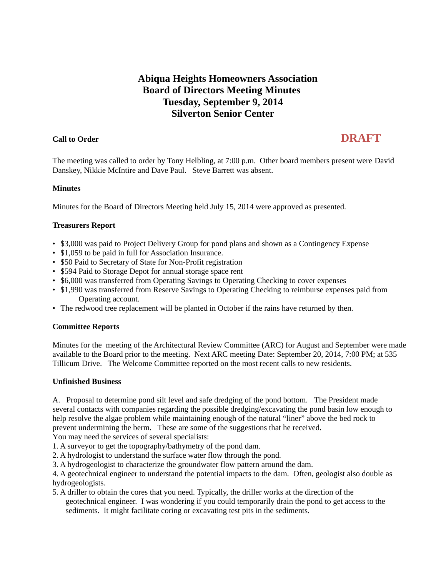## **Abiqua Heights Homeowners Association Board of Directors Meeting Minutes Tuesday, September 9, 2014 Silverton Senior Center**

# **Call to Order DRAFT**

The meeting was called to order by Tony Helbling, at 7:00 p.m. Other board members present were David Danskey, Nikkie McIntire and Dave Paul. Steve Barrett was absent.

#### **Minutes**

Minutes for the Board of Directors Meeting held July 15, 2014 were approved as presented.

### **Treasurers Report**

- \$3,000 was paid to Project Delivery Group for pond plans and shown as a Contingency Expense
- \$1,059 to be paid in full for Association Insurance.
- \$50 Paid to Secretary of State for Non-Profit registration
- \$594 Paid to Storage Depot for annual storage space rent
- \$6,000 was transferred from Operating Savings to Operating Checking to cover expenses
- \$1,990 was transferred from Reserve Savings to Operating Checking to reimburse expenses paid from Operating account.
- The redwood tree replacement will be planted in October if the rains have returned by then.

#### **Committee Reports**

Minutes for the meeting of the Architectural Review Committee (ARC) for August and September were made available to the Board prior to the meeting. Next ARC meeting Date: September 20, 2014, 7:00 PM; at 535 Tillicum Drive. The Welcome Committee reported on the most recent calls to new residents.

#### **Unfinished Business**

A. Proposal to determine pond silt level and safe dredging of the pond bottom. The President made several contacts with companies regarding the possible dredging/excavating the pond basin low enough to help resolve the algae problem while maintaining enough of the natural "liner" above the bed rock to prevent undermining the berm. These are some of the suggestions that he received.

You may need the services of several specialists:

1. A surveyor to get the topography/bathymetry of the pond dam.

2. A hydrologist to understand the surface water flow through the pond.

3. A hydrogeologist to characterize the groundwater flow pattern around the dam.

4. A geotechnical engineer to understand the potential impacts to the dam. Often, geologist also double as hydrogeologists.

5. A driller to obtain the cores that you need. Typically, the driller works at the direction of the geotechnical engineer. I was wondering if you could temporarily drain the pond to get access to the sediments. It might facilitate coring or excavating test pits in the sediments.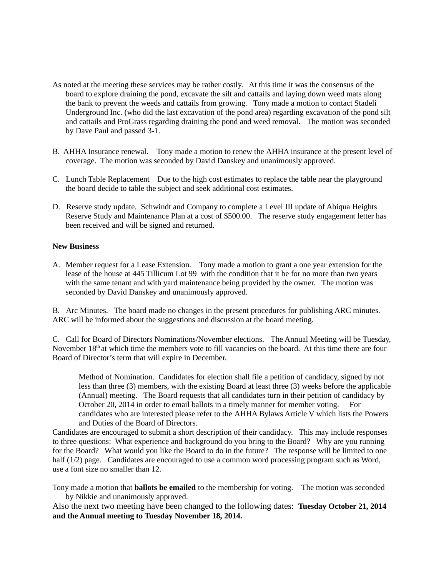- As noted at the meeting these services may be rather costly. At this time it was the consensus of the board to explore draining the pond, excavate the silt and cattails and laying down weed mats along the bank to prevent the weeds and cattails from growing. Tony made a motion to contact Stadeli Underground Inc. (who did the last excavation of the pond area) regarding excavation of the pond silt and cattails and ProGrass regarding draining the pond and weed removal. The motion was seconded by Dave Paul and passed 3-1.
- B. AHHA Insurance renewal.Tony made a motion to renew the AHHA insurance at the present level of coverage. The motion was seconded by David Danskey and unanimously approved.
- C. Lunch Table Replacement Due to the high cost estimates to replace the table near the playground the board decide to table the subject and seek additional cost estimates.
- D.Reserve study update. Schwindt and Company to complete a Level III update of Abiqua Heights Reserve Study and Maintenance Plan at a cost of \$500.00. The reserve study engagement letter has been received and will be signed and returned.

#### **New Business**

A. Member request for a Lease Extension. Tony made a motion to grant a one year extension for the lease of the house at 445 Tillicum Lot 99 with the condition that it be for no more than two years with the same tenant and with yard maintenance being provided by the owner. The motion was seconded by David Danskey and unanimously approved.

B.Arc Minutes. The board made no changes in the present procedures for publishing ARC minutes. ARC will be informed about the suggestions and discussion at the board meeting.

C. Call for Board of Directors Nominations/November elections. The Annual Meeting will be Tuesday, November 18<sup>th</sup> at which time the members vote to fill vacancies on the board. At this time there are four Board of Director's term that will expire in December.

Method of Nomination. Candidates for election shall file a petition of candidacy, signed by not less than three (3) members, with the existing Board at least three (3) weeks before the applicable (Annual) meeting. The Board requests that all candidates turn in their petition of candidacy by October 20, 2014 in order to email ballots in a timely manner for member voting.For candidates who are interested please refer to the AHHA Bylaws Article V which lists the Powers and Duties of the Board of Directors.

Candidates are encouraged to submit a short description of their candidacy. This may include responses to three questions: What experience and background do you bring to the Board? Why are you running for the Board? What would you like the Board to do in the future? The response will be limited to one half (1/2) page. Candidates are encouraged to use a common word processing program such as Word, use a font size no smaller than 12.

Tony made a motion that **ballots be emailed** to the membership for voting. The motion was seconded by Nikkie and unanimously approved.

Also the next two meeting have been changed to the following dates: **Tuesday October 21, 2014 and the Annual meeting to Tuesday November 18, 2014.**